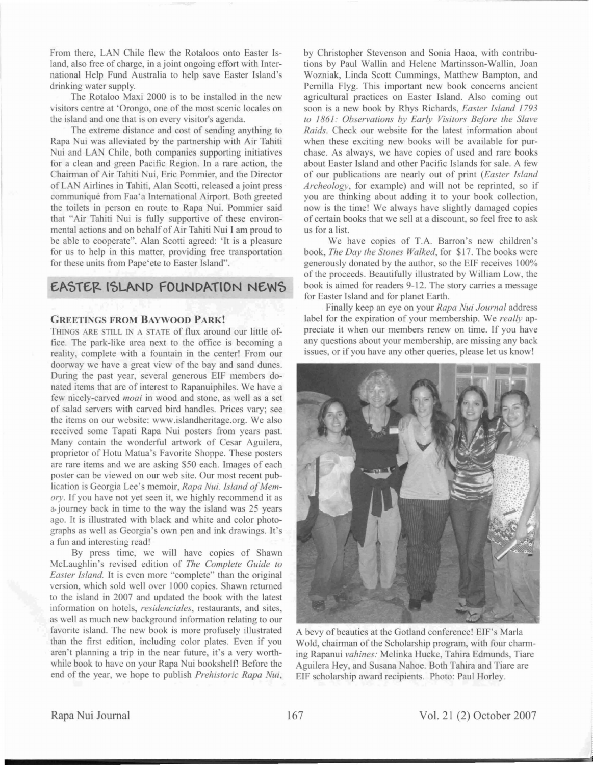From there, LAN Chile flew the Rotaloos onto Easter Island, also free of charge, in a joint ongoing effort with International Help Fund Australia to help save Easter Island's drinking water supply.

The Rotaloo Maxi 2000 is to be installed in the new visitors centre at 'Orongo, one of the most scenic locales on the island and one that is on every visitor's agenda.

The extreme distance and cost of sending anything to Rapa Nui was alleviated by the partnership with Air Tahiti Nui and LAN Chile, both companies supporting initiatives for a clean and green Pacific Region. In a rare action, the Chairman of Air Tahiti Nui, Eric Pommier, and the Director of LAN Airlines in Tahiti, Alan Scotti, released a joint press communique from Faa'a International Airport. Both greeted the toilets in person en route to Rapa Nui. Pommier said that "Air Tahiti Nui is fully upportive of these environmental actions and on behalf of Air Tahiti Nui I am proud to be able to cooperate". Alan Scotti agreed: 'It is a pleasure for us to help in this matter, providing free transportation for these units from Pape'ete to Easter Island".

## **EASTER ISLAND FOUNDATION NEWS**

## **GREETINGS FROM BAYWOOD PARK!**

THINGS ARE STILL IN A STATE of flux around our little office. The park-like area next to the office is becoming a reality, complete with a fountain in the center! From our doorway we have a great view of the bay and sand dunes. During the past year, several generous EIF members donated items that are of interest to Rapanuiphiles. We have a few nicely-carved *moai* in wood and stone, as well as a set of salad servers with carved bird handles. Prices vary; see the items on our website: www.islandheritage.org. We also received some Tapati Rapa Nui posters from years past. Many contain the wonderful artwork of Cesar Aguilera, proprietor of Hotu Matua's Favorite Shoppe. These posters are rare items and we are asking \$50 each. Images of each poster can be viewed on our web site. Our most recent publication is Georgia Lee's memoir, *Rapa Nui. Island of Mem*ory. If you have not yet seen it, we highly recommend it as a journey back in time to the way the island was 25 years ago. It is illustrated with black and white and color photographs as well as Georgia's own pen and ink drawings. It's a fun and interesting read!

By press time, we will have copies of Shawn McLaughlin's revised edition of *The Complete Guide to Ea ter Island.* It is even more "complete" than the original version, which sold well over 1000 copies. Shawn returned to the island in 2007 and updated the book with the latest information on hotels, *residenciales*, restaurants, and sites, as well as much new background information relating to our favorite island. The new book is more profusely illustrated than the first edition, including color plates. Even if you aren't planning a trip in the near future, it's a very worthwhile book to have on your Rapa Nui bookshelf! Before the end of the year, we hope to publish *Prehistoric Rapa Nui*,

by Christopher Stevenson and Sonia Haoa, with contributions by Paul Wallin and Helene Martinsson-Wallin, Joan Wozniak, Linda Scott Cummings, Matthew Bampton, and Pernilla Flyg. This important new book concerns ancient agricultural practices on Easter Island. Also coming out soon is a new book by Rhys Richards, *Easter Island 1793 to* 1861.' *Observation by Early Visitors Before the Slave Raids*. Check our website for the latest information about when these exciting new books will be available for purchase. As always, we have copies of used and rare books about Easter Island and other Pacific Islands for sale. A few of our publication are nearly out of print *(Easter Island Archeology*, for example) and will not be reprinted, so if you are thinking about adding it to your book collection, now is the time! We always have slightly damaged copies of certain books that we sell at a discount, so feel free to ask us for a list.

We have copies of T.A. Barron's new children's book, *The Day the Stones Walked*, for \$17. The books were generously donated by the author, so the EIF receives 100% of the proceeds. Beautifully illustrated by William Low, the book is aimed for readers 9-12. The story carries a message for Easter Island and for planet Earth.

Finally keep an eye on your *Rapa Nui Journal* addre label for the expiration of your membership. We *really* appreciate it when our members renew on time. If you have any questions about your membership, are missing any back issues, or if you have any other queries, please let us know!



A bevy of beauties at the Gotland conference! ElF's Marla Wold, chairman of the Scholarship program, with four charming Rapanui *vahines:* Melinka Hucke, Tahira Edmunds, Tiare Aguilera Hey, and Susana Nahoe. Both Tahira and Tiare are EIF scholarship award recipients. Photo: Paul Horley.